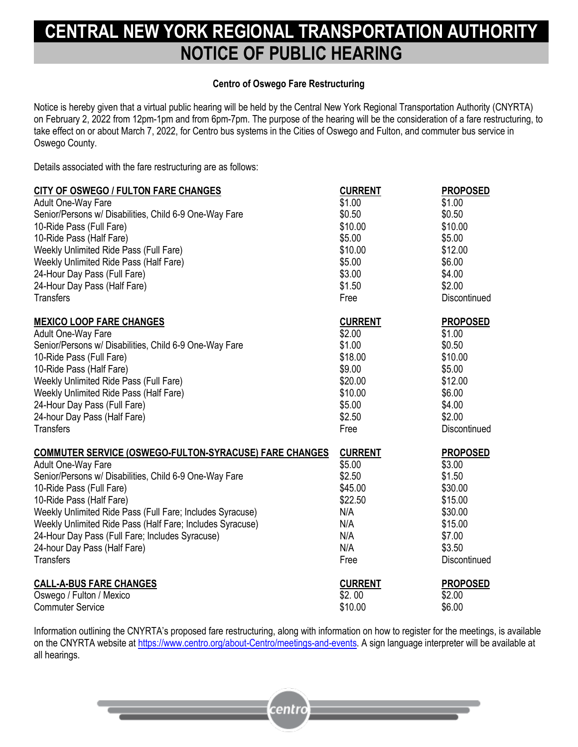## **CENTRAL NEW YORK REGIONAL TRANSPORTATION AUTHORITY NOTICE OF PUBLIC HEARING**

## **Centro of Oswego Fare Restructuring**

Notice is hereby given that a virtual public hearing will be held by the Central New York Regional Transportation Authority (CNYRTA) on February 2, 2022 from 12pm-1pm and from 6pm-7pm. The purpose of the hearing will be the consideration of a fare restructuring, to take effect on or about March 7, 2022, for Centro bus systems in the Cities of Oswego and Fulton, and commuter bus service in Oswego County.

Details associated with the fare restructuring are as follows:

| CITY OF OSWEGO / FULTON FARE CHANGES                      | <b>CURRENT</b> | <b>PROPOSED</b>     |
|-----------------------------------------------------------|----------------|---------------------|
| Adult One-Way Fare                                        | \$1.00         | \$1.00              |
| Senior/Persons w/ Disabilities, Child 6-9 One-Way Fare    | \$0.50         | \$0.50              |
| 10-Ride Pass (Full Fare)                                  | \$10.00        | \$10.00             |
| 10-Ride Pass (Half Fare)                                  | \$5.00         | \$5.00              |
| <b>Weekly Unlimited Ride Pass (Full Fare)</b>             | \$10.00        | \$12.00             |
| Weekly Unlimited Ride Pass (Half Fare)                    | \$5.00         | \$6.00              |
| 24-Hour Day Pass (Full Fare)                              | \$3.00         | \$4.00              |
| 24-Hour Day Pass (Half Fare)                              | \$1.50         | \$2.00              |
| <b>Transfers</b>                                          | Free           | Discontinued        |
| <b>MEXICO LOOP FARE CHANGES</b>                           | <b>CURRENT</b> | <b>PROPOSED</b>     |
| Adult One-Way Fare                                        | \$2.00         | \$1.00              |
| Senior/Persons w/ Disabilities, Child 6-9 One-Way Fare    | \$1.00         | \$0.50              |
| 10-Ride Pass (Full Fare)                                  | \$18.00        | \$10.00             |
| 10-Ride Pass (Half Fare)                                  | \$9.00         | \$5.00              |
| Weekly Unlimited Ride Pass (Full Fare)                    | \$20.00        | \$12.00             |
| Weekly Unlimited Ride Pass (Half Fare)                    | \$10.00        | \$6.00              |
| 24-Hour Day Pass (Full Fare)                              | \$5.00         | \$4.00              |
| 24-hour Day Pass (Half Fare)                              | \$2.50         | \$2.00              |
| <b>Transfers</b>                                          | Free           | Discontinued        |
| COMMUTER SERVICE (OSWEGO-FULTON-SYRACUSE) FARE CHANGES    | <b>CURRENT</b> | <b>PROPOSED</b>     |
| Adult One-Way Fare                                        | \$5.00         | \$3.00              |
| Senior/Persons w/ Disabilities, Child 6-9 One-Way Fare    | \$2.50         | \$1.50              |
| 10-Ride Pass (Full Fare)                                  | \$45.00        | \$30.00             |
| 10-Ride Pass (Half Fare)                                  | \$22.50        | \$15.00             |
| Weekly Unlimited Ride Pass (Full Fare; Includes Syracuse) | N/A            | \$30.00             |
| Weekly Unlimited Ride Pass (Half Fare; Includes Syracuse) | N/A            | \$15.00             |
| 24-Hour Day Pass (Full Fare; Includes Syracuse)           | N/A            | \$7.00              |
| 24-hour Day Pass (Half Fare)                              | N/A            | \$3.50              |
| <b>Transfers</b>                                          | Free           | <b>Discontinued</b> |
| <b>CALL-A-BUS FARE CHANGES</b>                            | <b>CURRENT</b> | <b>PROPOSED</b>     |
| Oswego / Fulton / Mexico                                  | \$2.00         | \$2.00              |
| <b>Commuter Service</b>                                   | \$10.00        | \$6.00              |

Information outlining the CNYRTA's proposed fare restructuring, along with information on how to register for the meetings, is available on the CNYRTA website at [https://www.centro.org/about-Centro/meetings-and-events.](https://www.centro.org/about-Centro/meetings-and-events) A sign language interpreter will be available at all hearings.